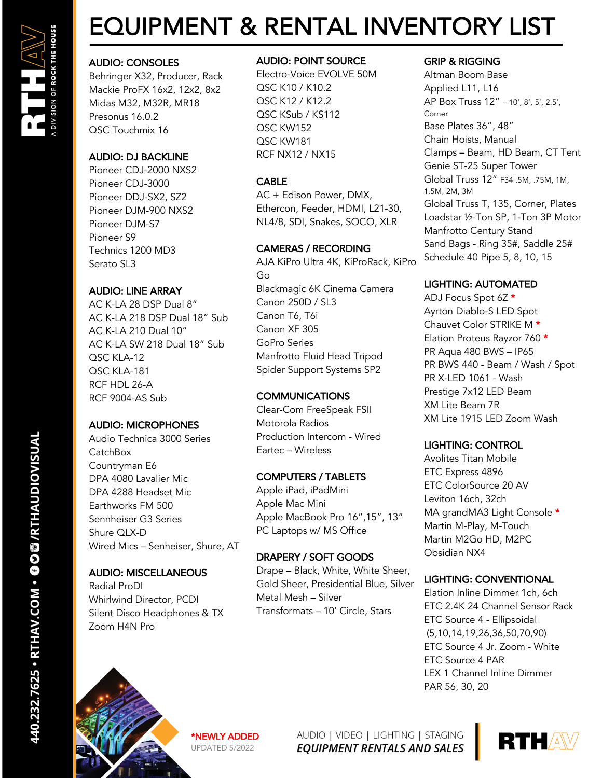# EQUIPMENT & RENTAL INVENTORY LIST

## AUDIO: CONSOLES

Behringer X32, Producer, Rack Mackie ProFX 16x2, 12x2, 8x2 Midas M32, M32R, MR18 Presonus 16.0.2 QSC Touchmix 16

## AUDIO: DJ BACKLINE

Pioneer CDJ-2000 NXS2 Pioneer CDJ-3000 Pioneer DDJ-SX2, SZ2 Pioneer DJM-900 NXS2 Pioneer DJM-S7 Pioneer S9 Technics 1200 MD3 Serato SL3

## AUDIO: LINE ARRAY

AC K-LA 28 DSP Dual 8" AC K-LA 218 DSP Dual 18" Sub AC K-LA 210 Dual 10" AC K-LA SW 218 Dual 18" Sub QSC KLA-12 QSC KLA-181 RCF HDL 26-A RCF 9004-AS Sub

## AUDIO: MICROPHONES

Audio Technica 3000 Series CatchBox Countryman E6 DPA 4080 Lavalier Mic DPA 4288 Headset Mic Earthworks FM 500 Sennheiser G3 Series Shure OI X-D Wired Mics – Senheiser, Shure, AT

## AUDIO: MISCELLANEOUS

Radial ProDI Whirlwind Director, PCDI Silent Disco Headphones & TX Zoom H4N Pro

## AUDIO: POINT SOURCE

Electro-Voice EVOLVE 50M QSC K10 / K10.2 QSC K12 / K12.2 QSC KSub / KS112 QSC KW152 QSC KW181 RCF NX12 / NX15

## CABLE

AC + Edison Power, DMX, Ethercon, Feeder, HDMI, L21-30, NL4/8, SDI, Snakes, SOCO, XLR

## CAMERAS / RECORDING

AJA KiPro Ultra 4K, KiProRack, KiPro Go Blackmagic 6K Cinema Camera Canon 250D / SL3 Canon T6, T6i Canon XF 305 GoPro Series Manfrotto Fluid Head Tripod Spider Support Systems SP2

## **COMMUNICATIONS**

Clear-Com FreeSpeak FSII Motorola Radios Production Intercom - Wired Eartec – Wireless

## COMPUTERS / TABLETS

Apple iPad, iPadMini Apple Mac Mini Apple MacBook Pro 16",15", 13" PC Laptops w/ MS Office

## DRAPERY / SOFT GOODS

Drape – Black, White, White Sheer, Gold Sheer, Presidential Blue, Silver Metal Mesh – Silver Transformats – 10' Circle, Stars

## GRIP & RIGGING

Altman Boom Base Applied L11, L16 AP Box Truss 12" – 10', 8', 5', 2.5', Corner Base Plates 36", 48" Chain Hoists, Manual Clamps – Beam, HD Beam, CT Tent Genie ST-25 Super Tower Global Truss 12" F34 .5M, .75M, 1M, 1.5M, 2M, 3M Global Truss T, 135, Corner, Plates Loadstar ½-Ton SP, 1-Ton 3P Motor Manfrotto Century Stand Sand Bags - Ring 35#, Saddle 25# Schedule 40 Pipe 5, 8, 10, 15

## LIGHTING: AUTOMATED

ADJ Focus Spot 6Z \* Ayrton Diablo-S LED Spot Chauvet Color STRIKE M \* Elation Proteus Rayzor 760 \* PR Aqua 480 BWS – IP65 PR BWS 440 - Beam / Wash / Spot PR X-LED 1061 - Wash Prestige 7x12 LED Beam XM Lite Beam 7R XM Lite 1915 LED Zoom Wash

## LIGHTING: CONTROL

Avolites Titan Mobile ETC Express 4896 ETC ColorSource 20 AV Leviton 16ch, 32ch MA grandMA3 Light Console \* Martin M-Play, M-Touch Martin M2Go HD, M2PC Obsidian NX4

## LIGHTING: CONVENTIONAL

Elation Inline Dimmer 1ch, 6ch ETC 2.4K 24 Channel Sensor Rack ETC Source 4 - Ellipsoidal (5,10,14,19,26,36,50,70,90) ETC Source 4 Jr. Zoom - White ETC Source 4 PAR LEX 1 Channel Inline Dimmer PAR 56, 30, 20



\*NEWLY ADDED UPDATED 5/2022

AUDIO | VIDEO | LIGHTING | STAGING **EQUIPMENT RENTALS AND SALES**